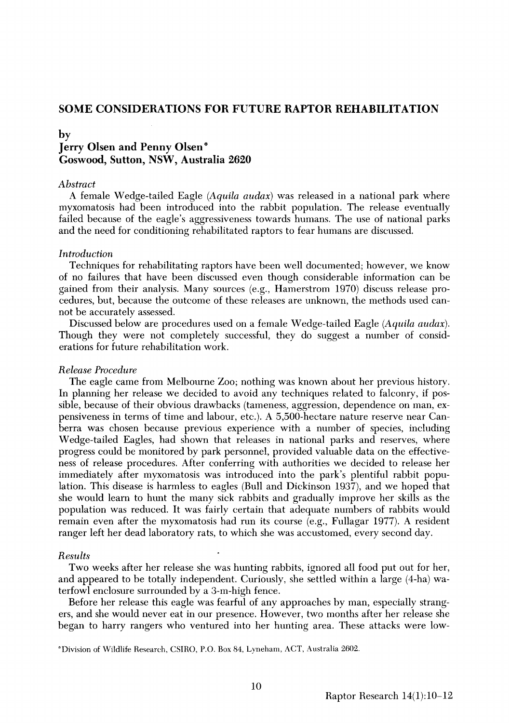# **SOME CONSIDERATIONS FOR FUTURE RAPTOR REHABILITATION**

# **by Jerry Olsen and Penny Olsen\* Goswood, Sutton, NSW, Australia 2620**

# **Abstract**

**A female Wedge-tailed Eagle (Aquila audax) was released in a national park where myxomatosis had been introduced into the rabbit population. The release eventually failed because of the eagle's aggressiveness towards humans. The use of national parks and the need for conditioning rehabilitated raptors to fear humans are discussed.** 

### **Introduction**

**Techniques for rehabilitating raptors have been well documented; however, we know of no failures that have been discussed even though considerable information can be gained from their analysis. Many sources (e.g., Hamerstrom 1970) discuss release procedures, but, because the outcome of these releases are unknown, the methods used cannot be accurately assessed.** 

**Discussed below are procedures used on a female Wedge-tailed Eagle (Aquila audax). Though they were not completely successful, they do suggest a number of considerations for future rehabilitation work.** 

## **Release Procedure**

**The eagle came from Melbourne Zoo; nothing was known about her previous history. In planning her release we decided to avoid any techniques related to falconry, if possible, because of their obvious drawbacks (tameness, aggression, dependence on man, expensiveness interms of time and labour, etc.). A 5,500-hectare nature reserve near Canberra was chosen because previous experience with a number of species, including Wedge-tailed Eagles, had shown that releases in national parks and reserves, where progress could be monitored by park personnel, provided valuable data on the effectiveness of release procedures. After conferring with authorities we decided to release her immediately after myxomatosis was introduced into the park's plentiful rabbit population. This disease is harmless to eagles (Bull and Dickinson 1937), and we hoped that she would learn to hunt the many sick rabbits and gradually improve her skills as the population was reduced. It was fairly certain that adequate numbers of rabbits would remain even after the myxomatosis had run its course (e.g., Fullagar 1977). A resident ranger left her dead laboratory rats, to which she was accustomed, every second day.** 

#### **Results**

**Two weeks after her release she was hunting rabbits, ignored all food put out for her, and appeared to be totally independent. Curiously, she settled within a large (4-ha) waterfowl enclosure surrounded by a 3-m-high fence.** 

**Before her release this eagle was fearful of any approaches by man, especially strangers, and she would never eat in our presence. However, two months after her release she began to harry rangers who ventured into her hunting area. These attacks were low-**

**øDivision of Wildlife Research, CSIRO, P.O. Box 84, Lyneham, ACT, Australia 2602.**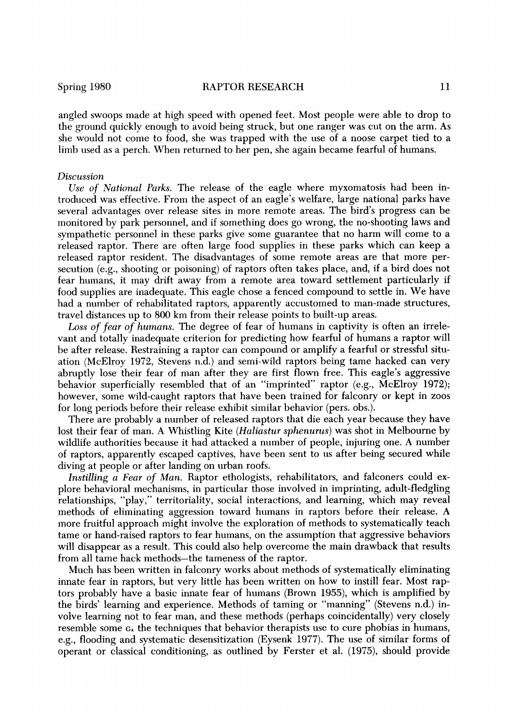**angled swoops made at high speed with opened feet. Most people were able to drop to the ground quickly enough to avoid being struck, but one ranger was cut on the arm. As she would not come to food, she was trapped with the use of a noose carpet tied to a limb used as a perch. When returned to her pen, she again became fearful of humans.** 

#### **Discussion**

**Use of National Parks. The release of the eagle where myxomatosis had been introduced was effective. From the aspect of an eagle's welfare, large national parks have several advantages over release sites in more remote areas. The bird's progress can be monitored by park personnel, and if something does go wrong, the no-shooting laws and sympathetic personnel in these parks give some guarantee that no harm will come to a released raptor. There are often large food supplies in these parks which can keep a**  released raptor resident. The disadvantages of some remote areas are that more per**secution (e.g., shooting or poisoning) of raptors often takes place, and, if a bird does not fear humans, it may drift away from a remote area toward settlement particularly if food supplies are inadequate. This eagle chose a fenced compound to settle in. We have had a number of rehabilitated raptors, apparently accustomed to man-made structures, travel distances up to 800 km from their release points to built-up areas.** 

Loss of fear of humans. The degree of fear of humans in captivity is often an irrele**vant and totally inadequate criterion for predicting how fearful of humans a raptor will be after release. Restraining a raptor can compound or amplify a fearful or stressful situation (McElroy 1972, Stevens n.d.) and semi-wild raptors being tame hacked can very abruptly lose their fear of man after they are first flown free. This eagle's aggressive**  behavior superficially resembled that of an "imprinted" raptor (e.g., McElroy 1972); **however, some wild-caught raptors that have been trained for falconry or kept in zoos for long periods before their release exhibit similar behavior (pers. obs.).** 

**There are probably a number of released raptors that die each year because they have lost their fear of man. A Whistling Kite (Haliastur sphenurus) was shot in Melbourne by wildlife authorities because it had attacked a number of people, injuring one. A number of raptors, apparently escaped captives, have been sent to us after being secured while diving at people or after landing on urban roofs.** 

**Instilling a Fear of Man. Raptor ethologists, rehabilitators, and falconers could explore behavioral mechanisms, in particular those involved in imprinting, adult-fledgling relationships, "play," territoriality, social interactions, and learning, which may reveal methods of eliminating aggression toward humans in raptors before their release. A more fruitful approach might involve the exploration of methods to systematically teach tame or hand-raised raptors to fear humans, on the assumption that aggressive behaviors will disappear as a result. This could also help overcome the main drawback that results from all tame hack methods-the tameness of the raptor.** 

**Much has been written in falconry works about methods of systematically eliminating innate fear in raptors, but very little has been written on how to instill fear. Most raptors probably have a basic innate fear of humans (Brown 1955), which is amplified by the birds' learning and experience. Methods of taming or "manning" (Stevens n.d.) involve learning not to fear man, and these methods (perhaps coincidentally) very closely resemble some c, the techniques that behavior therapists use to cure phobias in humans, e.g., flooding and systematic desensitization (Eysenk 1977). The use of similar forms of operant or classical conditioning, as outlined by Ferster et al. (1975), should provide**